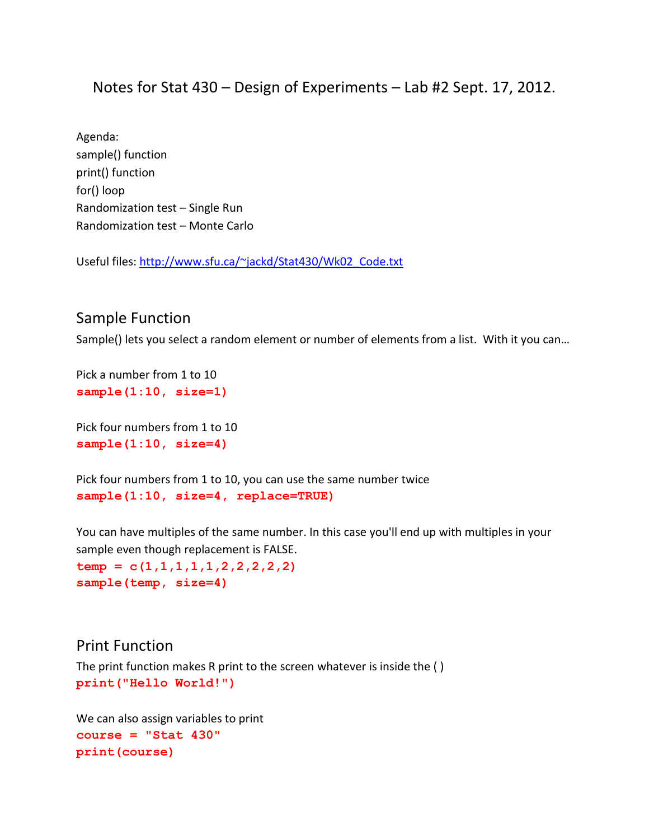## Notes for Stat 430 – Design of Experiments – Lab #2 Sept. 17, 2012.

Agenda: sample() function print() function for() loop Randomization test – Single Run Randomization test – Monte Carlo

Useful files: [http://www.sfu.ca/~jackd/Stat430/Wk02\\_Code.txt](http://www.sfu.ca/~jackd/Stat430/Wk02_Code.txt)

## Sample Function

Sample() lets you select a random element or number of elements from a list. With it you can…

Pick a number from 1 to 10 **sample(1:10, size=1)**

Pick four numbers from 1 to 10 **sample(1:10, size=4)**

Pick four numbers from 1 to 10, you can use the same number twice **sample(1:10, size=4, replace=TRUE)**

You can have multiples of the same number. In this case you'll end up with multiples in your sample even though replacement is FALSE. **temp = c(1,1,1,1,1,2,2,2,2,2) sample(temp, size=4)**

### Print Function

The print function makes R print to the screen whatever is inside the ( ) **print("Hello World!")**

We can also assign variables to print **course = "Stat 430" print(course)**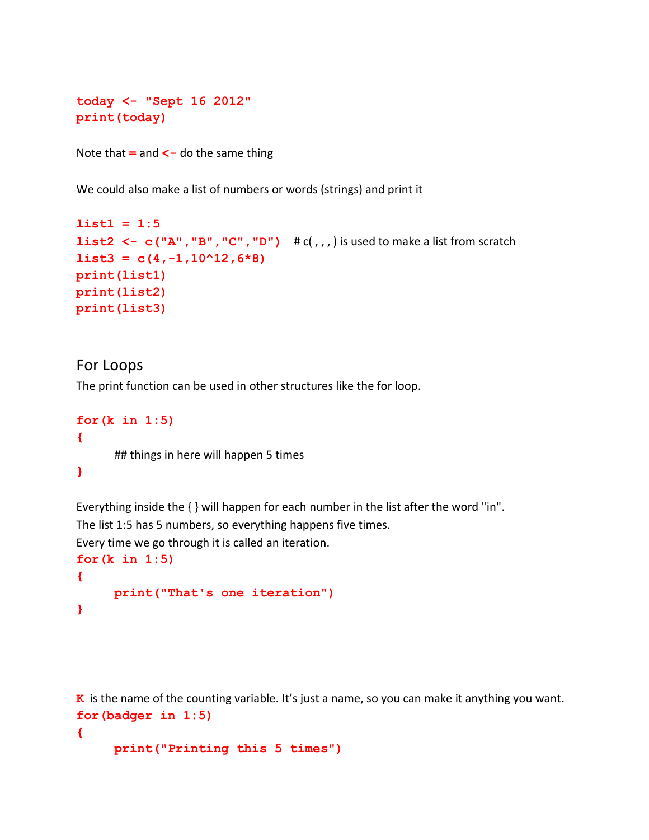```
today <- "Sept 16 2012"
print(today)
```
Note that **=** and **<-** do the same thing

We could also make a list of numbers or words (strings) and print it

```
list1 = 1:5
list2 <- c("A","B","C","D") # c( , , , ) is used to make a list from scratch
list3 = c(4,-1,10^12,6*8)print(list1)
print(list2)
print(list3)
```
## For Loops

The print function can be used in other structures like the for loop.

```
for(k in 1:5)
{
      ## things in here will happen 5 times
}
```
Everything inside the { } will happen for each number in the list after the word "in". The list 1:5 has 5 numbers, so everything happens five times.

Every time we go through it is called an iteration.

```
for(k in 1:5)
{
     print("That's one iteration")
}
```
**K** is the name of the counting variable. It's just a name, so you can make it anything you want. **for(badger in 1:5)**

```
{
```

```
print("Printing this 5 times")
```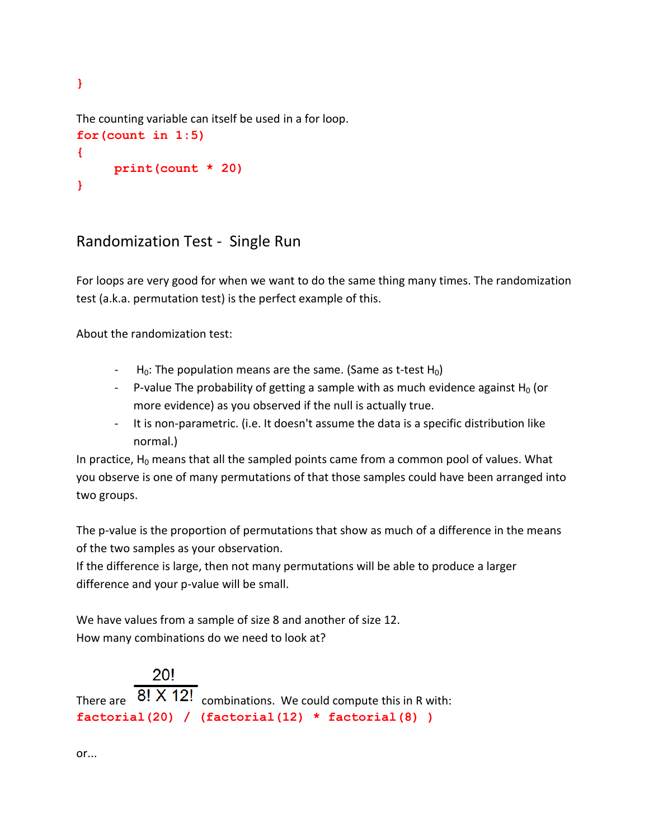The counting variable can itself be used in a for loop. **for(count in 1:5) { print(count \* 20)**

## Randomization Test - Single Run

For loops are very good for when we want to do the same thing many times. The randomization test (a.k.a. permutation test) is the perfect example of this.

About the randomization test:

**}**

**}**

- $-H<sub>0</sub>$ : The population means are the same. (Same as t-test H<sub>0</sub>)
- P-value The probability of getting a sample with as much evidence against  $H_0$  (or more evidence) as you observed if the null is actually true.
- It is non-parametric. (i.e. It doesn't assume the data is a specific distribution like normal.)

In practice,  $H_0$  means that all the sampled points came from a common pool of values. What you observe is one of many permutations of that those samples could have been arranged into two groups.

The p-value is the proportion of permutations that show as much of a difference in the means of the two samples as your observation.

If the difference is large, then not many permutations will be able to produce a larger difference and your p-value will be small.

We have values from a sample of size 8 and another of size 12. How many combinations do we need to look at?

# 20! There are  $\overline{8!}$   $\overline{X}$  12! combinations. We could compute this in R with: **factorial(20) / (factorial(12) \* factorial(8) )**

or...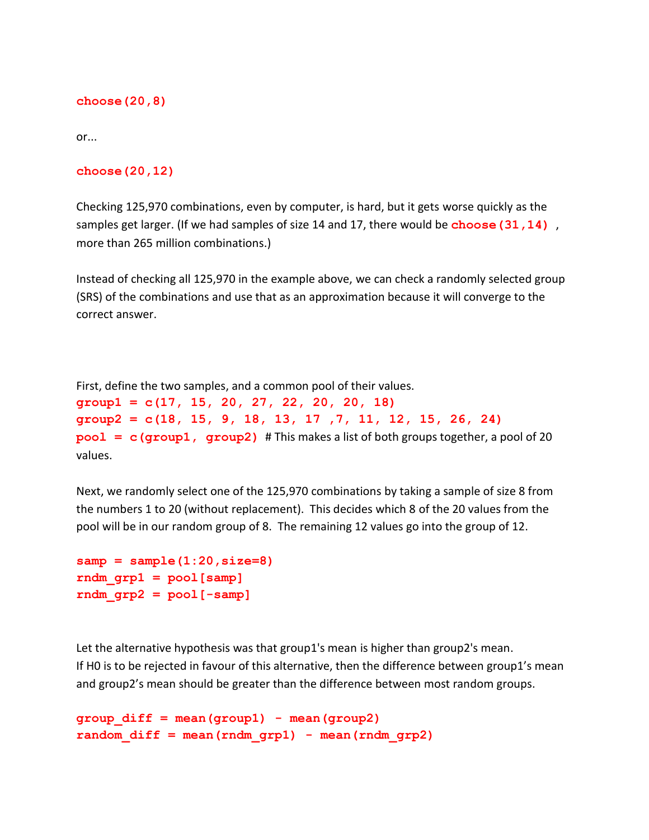#### **choose(20,8)**

or...

#### **choose(20,12)**

Checking 125,970 combinations, even by computer, is hard, but it gets worse quickly as the samples get larger. (If we had samples of size 14 and 17, there would be **choose (31, 14)**, more than 265 million combinations.)

Instead of checking all 125,970 in the example above, we can check a randomly selected group (SRS) of the combinations and use that as an approximation because it will converge to the correct answer.

First, define the two samples, and a common pool of their values.

**group1 = c(17, 15, 20, 27, 22, 20, 20, 18) group2 = c(18, 15, 9, 18, 13, 17 ,7, 11, 12, 15, 26, 24) pool = c(group1, group2)** # This makes a list of both groups together, a pool of 20 values.

Next, we randomly select one of the 125,970 combinations by taking a sample of size 8 from the numbers 1 to 20 (without replacement). This decides which 8 of the 20 values from the pool will be in our random group of 8. The remaining 12 values go into the group of 12.

```
samp = sample(1:20,size=8) 
rndm_grp1 = pool[samp] 
rndm_grp2 = pool[-samp]
```
Let the alternative hypothesis was that group1's mean is higher than group2's mean. If H0 is to be rejected in favour of this alternative, then the difference between group1's mean and group2's mean should be greater than the difference between most random groups.

```
group_diff = mean(group1) - mean(group2)
random_diff = mean(rndm_grp1) - mean(rndm_grp2)
```